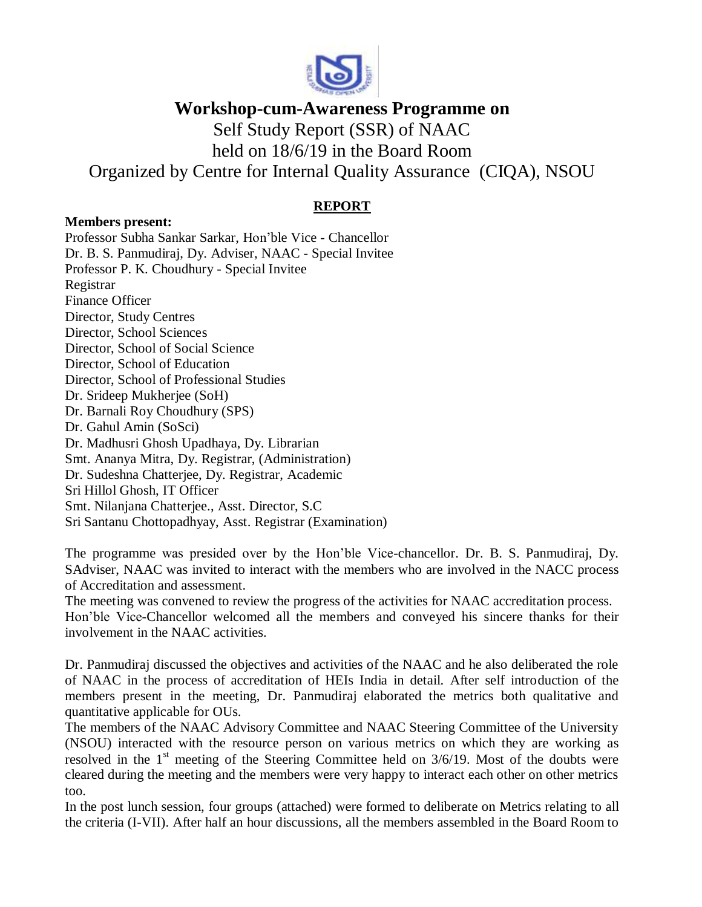

**Workshop-cum-Awareness Programme on**

Self Study Report (SSR) of NAAC

held on 18/6/19 in the Board Room

Organized by Centre for Internal Quality Assurance (CIQA), NSOU

## **REPORT**

## **Members present:**

Professor Subha Sankar Sarkar, Hon'ble Vice - Chancellor Dr. B. S. Panmudiraj, Dy. Adviser, NAAC - Special Invitee Professor P. K. Choudhury - Special Invitee Registrar Finance Officer Director, Study Centres Director, School Sciences Director, School of Social Science Director, School of Education Director, School of Professional Studies Dr. Srideep Mukherjee (SoH) Dr. Barnali Roy Choudhury (SPS) Dr. Gahul Amin (SoSci) Dr. Madhusri Ghosh Upadhaya, Dy. Librarian Smt. Ananya Mitra, Dy. Registrar, (Administration) Dr. Sudeshna Chatterjee, Dy. Registrar, Academic Sri Hillol Ghosh, IT Officer Smt. Nilanjana Chatterjee., Asst. Director, S.C Sri Santanu Chottopadhyay, Asst. Registrar (Examination)

The programme was presided over by the Hon'ble Vice-chancellor. Dr. B. S. Panmudiraj, Dy. SAdviser, NAAC was invited to interact with the members who are involved in the NACC process of Accreditation and assessment.

The meeting was convened to review the progress of the activities for NAAC accreditation process. Hon'ble Vice-Chancellor welcomed all the members and conveyed his sincere thanks for their involvement in the NAAC activities.

Dr. Panmudiraj discussed the objectives and activities of the NAAC and he also deliberated the role of NAAC in the process of accreditation of HEIs India in detail. After self introduction of the members present in the meeting, Dr. Panmudiraj elaborated the metrics both qualitative and quantitative applicable for OUs.

The members of the NAAC Advisory Committee and NAAC Steering Committee of the University (NSOU) interacted with the resource person on various metrics on which they are working as resolved in the  $1<sup>st</sup>$  meeting of the Steering Committee held on  $3/6/19$ . Most of the doubts were cleared during the meeting and the members were very happy to interact each other on other metrics too.

In the post lunch session, four groups (attached) were formed to deliberate on Metrics relating to all the criteria (I-VII). After half an hour discussions, all the members assembled in the Board Room to